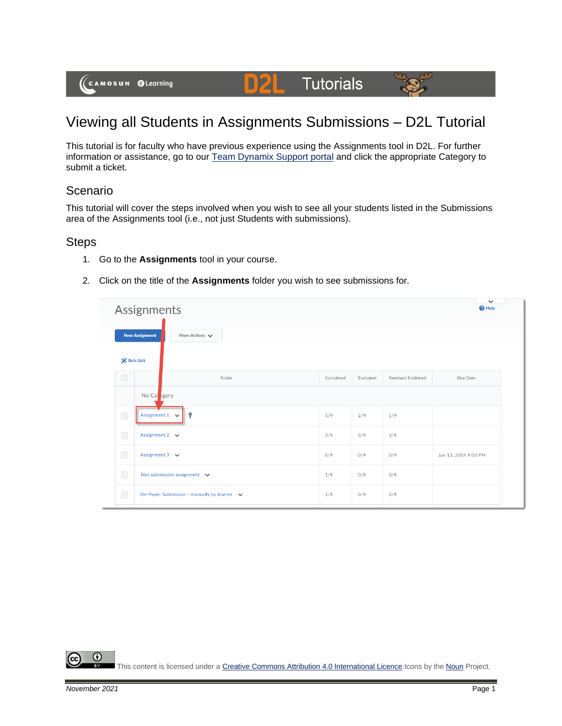

# **Tutorials**

## Viewing all Students in Assignments Submissions – D2L Tutorial

D

This tutorial is for faculty who have previous experience using the Assignments tool in D2L. For further information or assistance, go to our [Team Dynamix Support portal](https://camosun.teamdynamix.com/TDClient/67/Portal/Requests/ServiceCatalog?CategoryID=523) and click the appropriate Category to submit a ticket.

### Scenario

This tutorial will cover the steps involved when you wish to see all your students listed in the Submissions area of the Assignments tool (i.e., not just Students with submissions).

#### **Steps**

- 1. Go to the **Assignments** tool in your course.
- 2. Click on the title of the **Assignments** folder you wish to see submissions for.

|                  | Assignments                                                 |           |           |                    | $\checkmark$<br>$\bigcirc$ Help |
|------------------|-------------------------------------------------------------|-----------|-----------|--------------------|---------------------------------|
|                  | <b>New Assignment</b><br>More Actions $\blacktriangleright$ |           |           |                    |                                 |
| <b>Bulk Edit</b> |                                                             |           |           |                    |                                 |
| $\bigcirc$       | Folder                                                      | Completed | Evaluated | Feedback Published | Due Date                        |
|                  | No Capegory                                                 |           |           |                    |                                 |
| $\bigcirc$       | Assignment $1 \quad \vee$<br>Ŷ                              | 5/9       | 2/9       | 1/9                |                                 |
| $\Box$           | Assignment 2 $\vee$                                         | 3/9       | 3/9       | 3/9                |                                 |
| $\bigcirc$       | Assignment $3 \quad \vee$                                   | 0/9       | 0/9       | 0/9                | Jun 13, 2014 9:00 PM            |
| $\bigcirc$       | Text submission assignment $\vee$                           | 1/9       | 0/9       | 0/9                |                                 |
| $\bigcirc$       | On-Paper Submission - manually by learner v                 | 1/9       | 0/9       | 0/9                |                                 |

⋒ This content is licensed under [a Creative Commons Attribution 4.0 International Licence.I](https://creativecommons.org/licenses/by/4.0/)cons by the [Noun](https://creativecommons.org/website-icons/) Project.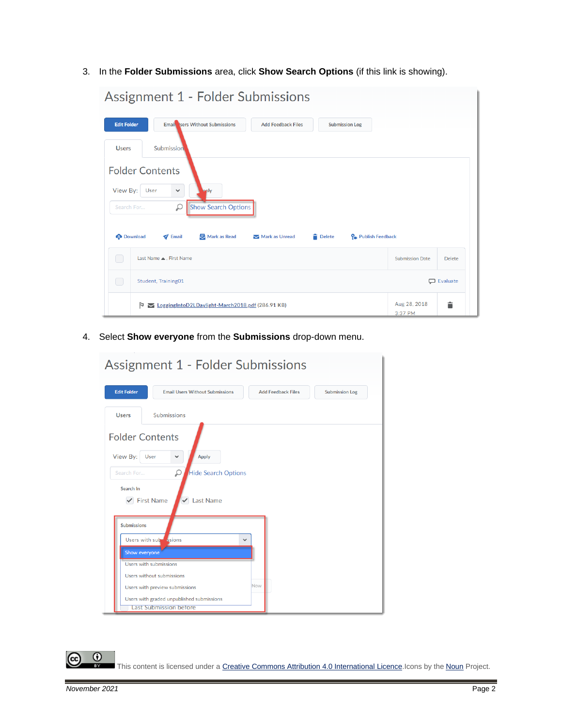3. In the **Folder Submissions** area, click **Show Search Options** (if this link is showing).

| Assignment 1 - Folder Submissions                                                                                                                                                                                                                           |                         |                   |
|-------------------------------------------------------------------------------------------------------------------------------------------------------------------------------------------------------------------------------------------------------------|-------------------------|-------------------|
| <b>Email Isers Without Submissions</b><br><b>Edit Folder</b><br><b>Add Feedback Files</b><br><b>Submission Log</b>                                                                                                                                          |                         |                   |
| Submission<br><b>Users</b>                                                                                                                                                                                                                                  |                         |                   |
| <b>Folder Contents</b><br>View By:<br>User<br>$\checkmark$<br>pply<br><b>Show Search Options</b><br>₽<br>Search For<br>Mark as Read<br><b>Delete</b><br>P <sub>a</sub> Publish Feedback<br><b>Download</b><br>$\blacktriangleright$ Email<br>Mark as Unread |                         |                   |
| O<br>Last Name A, First Name                                                                                                                                                                                                                                | <b>Submission Date</b>  | Delete            |
| $\bigcirc$<br>Student, Training01                                                                                                                                                                                                                           |                         | <b>D</b> Evaluate |
| <b><u>► LoggingIntoD2LDaylight-March2018.pdf</u></b> (286.91 KB)<br>Þ                                                                                                                                                                                       | Aug 28, 2018<br>3:37 PM | Ê                 |

4. Select **Show everyone** from the **Submissions** drop-down menu.

|                                                                       | Assignment 1 - Folder Submissions                                                    |                           |                       |
|-----------------------------------------------------------------------|--------------------------------------------------------------------------------------|---------------------------|-----------------------|
| <b>Edit Folder</b>                                                    | <b>Email Users Without Submissions</b>                                               | <b>Add Feedback Files</b> | <b>Submission Log</b> |
| <b>Users</b>                                                          | Submissions                                                                          |                           |                       |
| <b>Folder Contents</b><br>View By:<br>User<br>Search For<br>Search In | <b>Apply</b><br>$\checkmark$<br>₽<br><b>Hide Search Options</b>                      |                           |                       |
| <b>Submissions</b><br>Show everyone                                   | <b>Last Name</b><br><b>First Name</b><br>✓<br>Users with subsetsions<br>$\checkmark$ |                           |                       |
| Users with submissions                                                | Users without submissions                                                            |                           |                       |
|                                                                       | Users with preview submissions                                                       | Now                       |                       |
|                                                                       | Users with graded unpublished submissions<br><b>Last Submission before</b>           |                           |                       |

This content is licensed under [a Creative Commons Attribution 4.0 International Licence.I](https://creativecommons.org/licenses/by/4.0/)cons by the [Noun](https://creativecommons.org/website-icons/) Project.

 $\overline{\odot}$ 

(cc

L.  $\mathbf{r}$